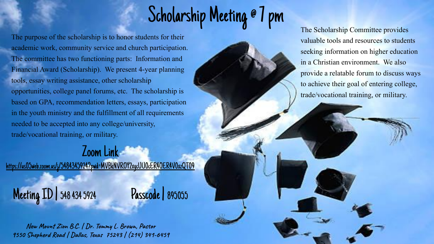## Scholarship Meeting @ 7 pm

The purpose of the scholarship is to honor students for their academic work, community service and church participation. The committee has two functioning parts: Information and Financial Award (Scholarship). We present 4-year planning tools, essay writing assistance, other scholarship opportunities, college panel forums, etc. The scholarship is based on GPA, recommendation letters, essays, participation in the youth ministry and the fulfillment of all requirements needed to be accepted into any college/university, trade/vocational training, or military.

## Zoom Link

[https://us05web.zoom.us/j/5484345924?pwd=MVBkNVROY2xycUU0cER4OER4V0xzQT09](https://www.google.com/url?q=https://us05web.zoom.us/j/5484345924?pwd%3DMVBkNVROY2xycUU0cER4OER4V0xzQT09&sa=D&source=editors&ust=1653053917004377&usg=AOvVaw2jJBonpD_-n7kNAk35wmAi)

Meeting ID | 548 434 5924 Passcode | <sup>895055</sup>

**New Mount Zion B.C. | Dr. Tommy L. Brown, Pastor 9550 Shepherd Road | Dallas, Texas 75243 | (214) 341-6459** The Scholarship Committee provides valuable tools and resources to students seeking information on higher education in a Christian environment. We also provide a relatable forum to discuss ways to achieve their goal of entering college, trade/vocational training, or military.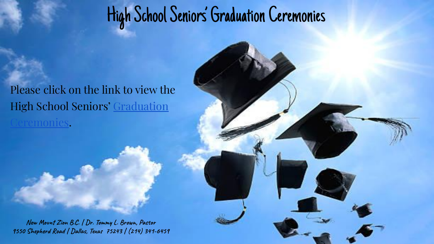## High School Seniors' Graduation Ceremonies

Please click on the link to view the High School Seniors' [Graduation](https://www.google.com/url?q=https://docs.google.com/document/d/1_zQWEmTTZzVtbYZFPR701AEHUmUA4qINwaLcW4XpuSQ/view?usp%3Dsharing&sa=D&source=editors&ust=1653053917028012&usg=AOvVaw1utG8x4uwpvYBLCBpOGwu5) [Ceremonies](https://www.google.com/url?q=https://docs.google.com/document/d/1_zQWEmTTZzVtbYZFPR701AEHUmUA4qINwaLcW4XpuSQ/view?usp%3Dsharing&sa=D&source=editors&ust=1653053917028297&usg=AOvVaw3AWUqWotFUZuhfPtKjPXDd).

**New Mount Zion B.C. | Dr. Tommy L. Brown, Pastor 9550 Shepherd Road | Dallas, Texas 75243 | (214) 341-6459**